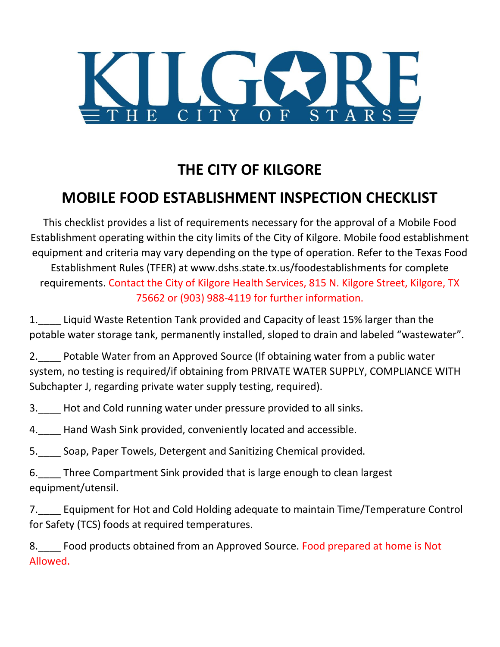

## **THE CITY OF KILGORE**

## **MOBILE FOOD ESTABLISHMENT INSPECTION CHECKLIST**

This checklist provides a list of requirements necessary for the approval of a Mobile Food Establishment operating within the city limits of the City of Kilgore. Mobile food establishment equipment and criteria may vary depending on the type of operation. Refer to the Texas Food Establishment Rules (TFER) at www.dshs.state.tx.us/foodestablishments for complete requirements. Contact the City of Kilgore Health Services, 815 N. Kilgore Street, Kilgore, TX 75662 or (903) 988-4119 for further information.

1. Liquid Waste Retention Tank provided and Capacity of least 15% larger than the potable water storage tank, permanently installed, sloped to drain and labeled "wastewater".

2.\_\_\_\_ Potable Water from an Approved Source (If obtaining water from a public water system, no testing is required/if obtaining from PRIVATE WATER SUPPLY, COMPLIANCE WITH Subchapter J, regarding private water supply testing, required).

3. Hot and Cold running water under pressure provided to all sinks.

4. Hand Wash Sink provided, conveniently located and accessible.

5.\_\_\_\_ Soap, Paper Towels, Detergent and Sanitizing Chemical provided.

6.\_\_\_\_ Three Compartment Sink provided that is large enough to clean largest equipment/utensil.

7. Equipment for Hot and Cold Holding adequate to maintain Time/Temperature Control for Safety (TCS) foods at required temperatures.

8. Food products obtained from an Approved Source. Food prepared at home is Not Allowed.